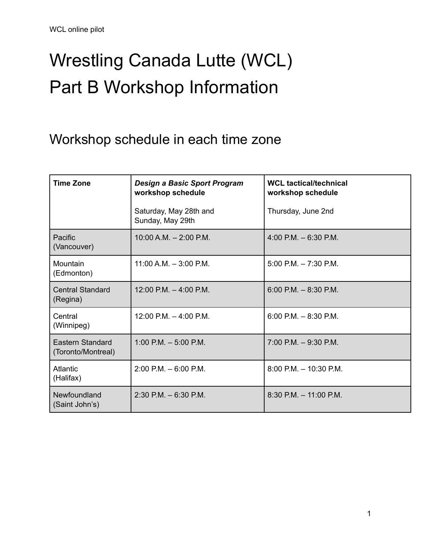# Wrestling Canada Lutte (WCL) Part B Workshop Information

Workshop schedule in each time zone

| <b>Time Zone</b>                              | <b>Design a Basic Sport Program</b><br>workshop schedule | <b>WCL tactical/technical</b><br>workshop schedule |
|-----------------------------------------------|----------------------------------------------------------|----------------------------------------------------|
|                                               | Saturday, May 28th and<br>Sunday, May 29th               | Thursday, June 2nd                                 |
| <b>Pacific</b><br>(Vancouver)                 | $10:00$ A.M. $- 2:00$ P.M.                               | $4:00$ P.M. $-6:30$ P.M.                           |
| Mountain<br>(Edmonton)                        | $11:00$ A.M. $-3:00$ P.M.                                | $5:00$ P.M. $-7:30$ P.M.                           |
| <b>Central Standard</b><br>(Regina)           | 12:00 P.M. $-$ 4:00 P.M.                                 | $6:00$ P.M. $-8:30$ P.M.                           |
| Central<br>(Winnipeg)                         | 12:00 P.M. $-$ 4:00 P.M.                                 | $6:00$ P.M. $-8:30$ P.M.                           |
| <b>Eastern Standard</b><br>(Toronto/Montreal) | $1:00$ P.M. $-5:00$ P.M.                                 | $7:00$ P.M. $-9:30$ P.M.                           |
| <b>Atlantic</b><br>(Halifax)                  | $2:00$ P.M. $-6:00$ P.M.                                 | $8:00$ P.M. $-10:30$ P.M.                          |
| Newfoundland<br>(Saint John's)                | $2:30$ P.M. $-6:30$ P.M.                                 | $8:30$ P.M. $-11:00$ P.M.                          |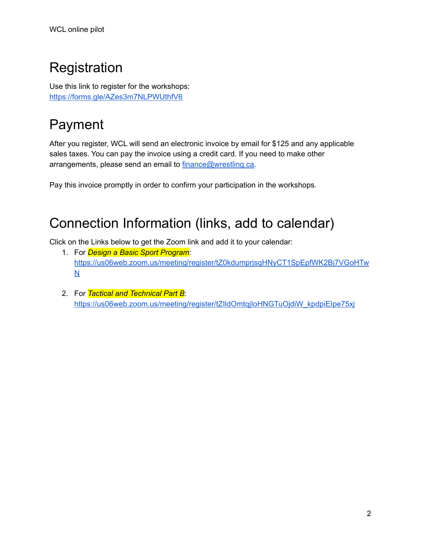## **Registration**

Use this link to register for the workshops: <https://forms.gle/AZes3m7NLPWUthfV6>

### Payment

After you register, WCL will send an electronic invoice by email for \$125 and any applicable sales taxes. You can pay the invoice using a credit card. If you need to make other arrangements, please send an email to [finance@wrestling.ca.](mailto:finance@wrestling.ca)

Pay this invoice promptly in order to confirm your participation in the workshops.

#### Connection Information (links, add to calendar)

Click on the Links below to get the Zoom link and add it to your calendar:

- 1. For *Design a Basic Sport Program*: [https://us06web.zoom.us/meeting/register/tZ0kdumprjsqHNyCT1SpEpfWK2Bj7VGoHTw](https://us06web.zoom.us/meeting/register/tZ0kdumprjsqHNyCT1SpEpfWK2Bj7VGoHTwN) [N](https://us06web.zoom.us/meeting/register/tZ0kdumprjsqHNyCT1SpEpfWK2Bj7VGoHTwN)
- 2. For *Tactical and Technical Part B*: [https://us06web.zoom.us/meeting/register/tZIldOmtqjIoHNGTuOjdiW\\_kpdpiEIpe75xj](https://us06web.zoom.us/meeting/register/tZIldOmtqjIoHNGTuOjdiW_kpdpiEIpe75xj)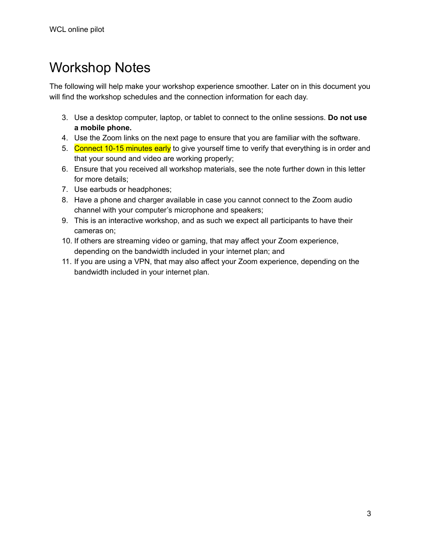### Workshop Notes

The following will help make your workshop experience smoother. Later on in this document you will find the workshop schedules and the connection information for each day.

- 3. Use a desktop computer, laptop, or tablet to connect to the online sessions. **Do not use a mobile phone.**
- 4. Use the Zoom links on the next page to ensure that you are familiar with the software.
- 5. Connect 10-15 minutes early to give yourself time to verify that everything is in order and that your sound and video are working properly;
- 6. Ensure that you received all workshop materials, see the note further down in this letter for more details;
- 7. Use earbuds or headphones;
- 8. Have a phone and charger available in case you cannot connect to the Zoom audio channel with your computer's microphone and speakers;
- 9. This is an interactive workshop, and as such we expect all participants to have their cameras on;
- 10. If others are streaming video or gaming, that may affect your Zoom experience, depending on the bandwidth included in your internet plan; and
- 11. If you are using a VPN, that may also affect your Zoom experience, depending on the bandwidth included in your internet plan.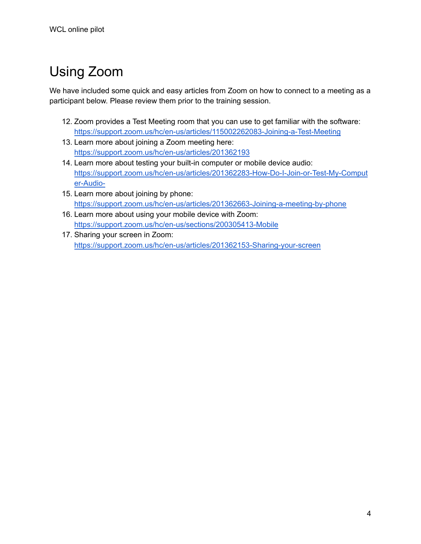## Using Zoom

We have included some quick and easy articles from Zoom on how to connect to a meeting as a participant below. Please review them prior to the training session.

- 12. Zoom provides a Test Meeting room that you can use to get familiar with the software: <https://support.zoom.us/hc/en-us/articles/115002262083-Joining-a-Test-Meeting>
- 13. Learn more about joining a Zoom meeting here: <https://support.zoom.us/hc/en-us/articles/201362193>
- 14. Learn more about testing your built-in computer or mobile device audio: [https://support.zoom.us/hc/en-us/articles/201362283-How-Do-I-Join-or-Test-My-Comput](https://support.zoom.us/hc/en-us/articles/201362283-How-Do-I-Join-or-Test-My-Computer-Audio-) [er-Audio-](https://support.zoom.us/hc/en-us/articles/201362283-How-Do-I-Join-or-Test-My-Computer-Audio-)
- 15. Learn more about joining by phone: <https://support.zoom.us/hc/en-us/articles/201362663-Joining-a-meeting-by-phone>
- 16. Learn more about using your mobile device with Zoom: <https://support.zoom.us/hc/en-us/sections/200305413-Mobile>
- 17. Sharing your screen in Zoom: <https://support.zoom.us/hc/en-us/articles/201362153-Sharing-your-screen>